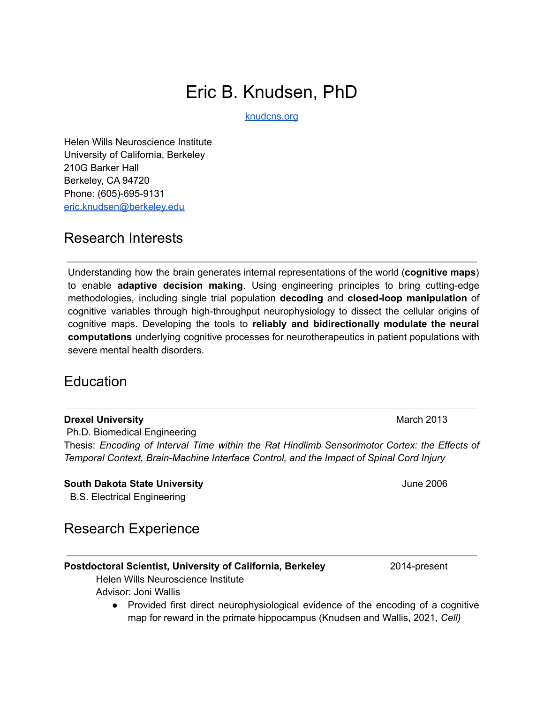# Eric B. Knudsen, PhD

[knudcns.org](https://knudcns.org/)

Helen Wills Neuroscience Institute University of California, Berkeley 210G Barker Hall Berkeley, CA 94720 Phone: (605)-695-9131 [eric.knudsen@berkeley.edu](mailto:eric.knudsen@berkeley.edu)

## Research Interests

Understanding how the brain generates internal representations of the world (**cognitive maps**) to enable **adaptive decision making**. Using engineering principles to bring cutting-edge methodologies, including single trial population **decoding** and **closed-loop manipulation** of cognitive variables through high-throughput neurophysiology to dissect the cellular origins of cognitive maps. Developing the tools to **reliably and bidirectionally modulate the neural computations** underlying cognitive processes for neurotherapeutics in patient populations with severe mental health disorders.

## **Education**

#### **Drexel University** March 2013

Ph.D. Biomedical Engineering Thesis: *Encoding of Interval Time within the Rat Hindlimb Sensorimotor Cortex: the Effects of Temporal Context, Brain-Machine Interface Control, and the Impact of Spinal Cord Injury*

#### **South Dakota State University** June 2006

B.S. Electrical Engineering

### Research Experience

#### **Postdoctoral Scientist, University of California, Berkeley** 2014-present

Helen Wills Neuroscience Institute

- Advisor: Joni Wallis
	- Provided first direct neurophysiological evidence of the encoding of a cognitive map for reward in the primate hippocampus (Knudsen and Wallis, 2021, *Cell)*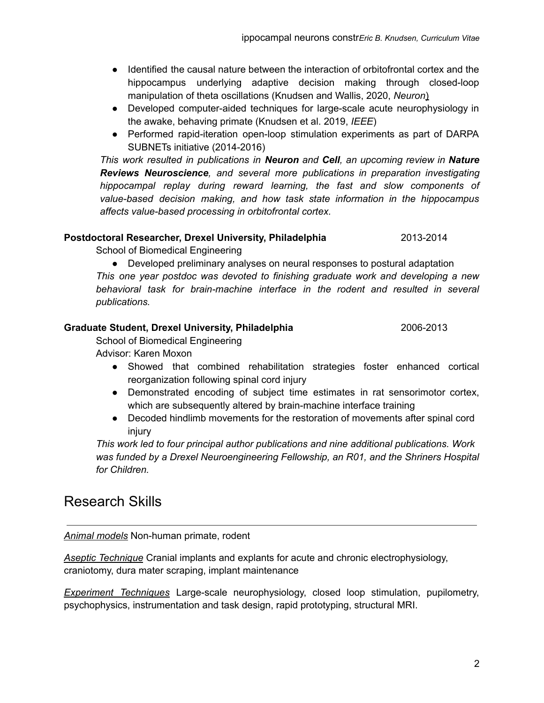- Identified the causal nature between the interaction of orbitofrontal cortex and the hippocampus underlying adaptive decision making through closed-loop manipulation of theta oscillations (Knudsen and Wallis, 2020, *Neuron*)
- Developed computer-aided techniques for large-scale acute neurophysiology in the awake, behaving primate (Knudsen et al. 2019, *IEEE*)
- Performed rapid-iteration open-loop stimulation experiments as part of DARPA SUBNETs initiative (2014-2016)

*This work resulted in publications in Neuron and Cell, an upcoming review in Nature Reviews Neuroscience, and several more publications in preparation investigating hippocampal replay during reward learning, the fast and slow components of value-based decision making, and how task state information in the hippocampus affects value-based processing in orbitofrontal cortex.*

#### **Postdoctoral Researcher, Drexel University, Philadelphia** 2013-2014

School of Biomedical Engineering

• Developed preliminary analyses on neural responses to postural adaptation

*This one year postdoc was devoted to finishing graduate work and developing a new behavioral task for brain-machine interface in the rodent and resulted in several publications.*

#### **Graduate Student, Drexel University, Philadelphia** 2006-2013

School of Biomedical Engineering Advisor: Karen Moxon

- Showed that combined rehabilitation strategies foster enhanced cortical reorganization following spinal cord injury
- Demonstrated encoding of subject time estimates in rat sensorimotor cortex, which are subsequently altered by brain-machine interface training
- Decoded hindlimb movements for the restoration of movements after spinal cord injury

*This work led to four principal author publications and nine additional publications. Work was funded by a Drexel Neuroengineering Fellowship, an R01, and the Shriners Hospital for Children.*

## Research Skills

*Animal models* Non-human primate, rodent

*Aseptic Technique* Cranial implants and explants for acute and chronic electrophysiology, craniotomy, dura mater scraping, implant maintenance

*Experiment Techniques* Large-scale neurophysiology, closed loop stimulation, pupilometry, psychophysics, instrumentation and task design, rapid prototyping, structural MRI.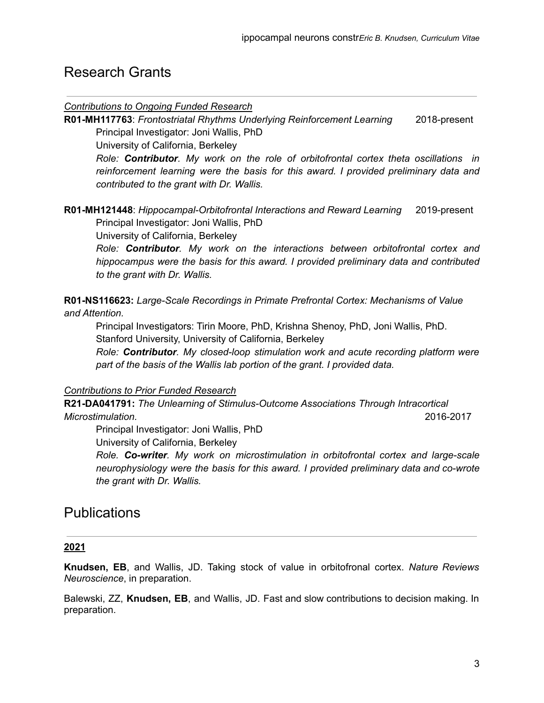### Research Grants

*Contributions to Ongoing Funded Research*

**R01-MH117763**: *Frontostriatal Rhythms Underlying Reinforcement Learning* 2018-present Principal Investigator: Joni Wallis, PhD

University of California, Berkeley

*Role: Contributor. My work on the role of orbitofrontal cortex theta oscillations in reinforcement learning were the basis for this award. I provided preliminary data and contributed to the grant with Dr. Wallis.*

**R01-MH121448**: *Hippocampal-Orbitofrontal Interactions and Reward Learning* 2019-present Principal Investigator: Joni Wallis, PhD

University of California, Berkeley

*Role: Contributor. My work on the interactions between orbitofrontal cortex and hippocampus were the basis for this award. I provided preliminary data and contributed to the grant with Dr. Wallis.*

**R01-NS116623:** *Large-Scale Recordings in Primate Prefrontal Cortex: Mechanisms of Value and Attention.*

Principal Investigators: Tirin Moore, PhD, Krishna Shenoy, PhD, Joni Wallis, PhD. Stanford University, University of California, Berkeley

*Role: Contributor. My closed-loop stimulation work and acute recording platform were part of the basis of the Wallis lab portion of the grant. I provided data.*

#### *Contributions to Prior Funded Research*

**R21-DA041791:** *The Unlearning of Stimulus-Outcome Associations Through Intracortical Microstimulation.* 2016-2017

Principal Investigator: Joni Wallis, PhD

University of California, Berkeley

*Role. Co-writer. My work on microstimulation in orbitofrontal cortex and large-scale neurophysiology were the basis for this award. I provided preliminary data and co-wrote the grant with Dr. Wallis.*

### **Publications**

#### **2021**

**Knudsen, EB**, and Wallis, JD. Taking stock of value in orbitofronal cortex. *Nature Reviews Neuroscience*, in preparation.

Balewski, ZZ, **Knudsen, EB**, and Wallis, JD. Fast and slow contributions to decision making. In preparation.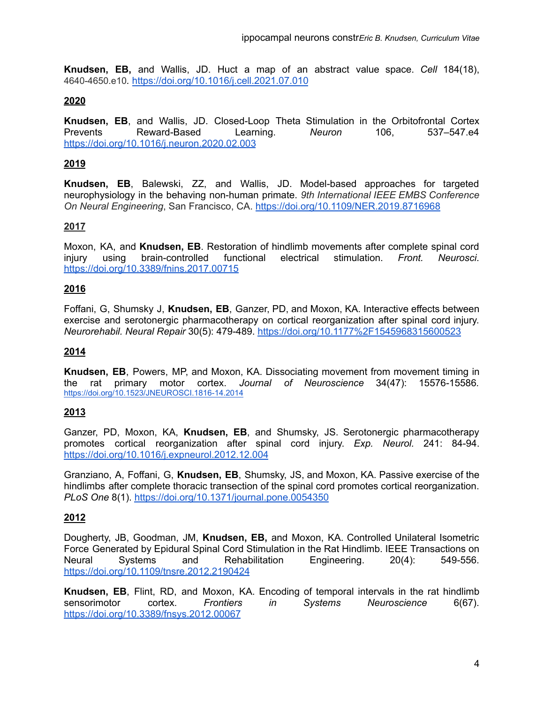**Knudsen, EB,** and Wallis, JD. Huct a map of an abstract value space. *Cell* 184(18), 4640-4650.e10*.* <https://doi.org/10.1016/j.cell.2021.07.010>

#### **2020**

**Knudsen, EB**, and Wallis, JD. Closed-Loop Theta Stimulation in the Orbitofrontal Cortex Prevents Reward-Based Learning. *Neuron* 106, 537–547.e4 <https://doi.org/10.1016/j.neuron.2020.02.003>

#### **2019**

**Knudsen, EB**, Balewski, ZZ, and Wallis, JD. Model-based approaches for targeted neurophysiology in the behaving non-human primate. *9th International IEEE EMBS Conference On Neural Engineering*, San Francisco, CA. <https://doi.org/10.1109/NER.2019.8716968>

#### **2017**

Moxon, KA, and **Knudsen, EB**. Restoration of hindlimb movements after complete spinal cord injury using brain-controlled functional electrical stimulation. *Front. Neurosci*. <https://doi.org/10.3389/fnins.2017.00715>

#### **2016**

Foffani, G, Shumsky J, **Knudsen, EB**, Ganzer, PD, and Moxon, KA. Interactive effects between exercise and serotonergic pharmacotherapy on cortical reorganization after spinal cord injury. *Neurorehabil. Neural Repair* 30(5): 479-489. <https://doi.org/10.1177%2F1545968315600523>

#### **2014**

**Knudsen, EB**, Powers, MP, and Moxon, KA. Dissociating movement from movement timing in the rat primary motor cortex. *Journal of Neuroscience* 34(47): 15576-15586*.* <https://doi.org/10.1523/JNEUROSCI.1816-14.2014>

#### **2013**

Ganzer, PD, Moxon, KA, **Knudsen, EB**, and Shumsky, JS. Serotonergic pharmacotherapy promotes cortical reorganization after spinal cord injury. *Exp. Neurol.* 241: 84-94. <https://doi.org/10.1016/j.expneurol.2012.12.004>

Granziano, A, Foffani, G, **Knudsen, EB**, Shumsky, JS, and Moxon, KA. Passive exercise of the hindlimbs after complete thoracic transection of the spinal cord promotes cortical reorganization. *PLoS One* 8(1). <https://doi.org/10.1371/journal.pone.0054350>

#### **2012**

Dougherty, JB, Goodman, JM, **Knudsen, EB,** and Moxon, KA. Controlled Unilateral Isometric Force Generated by Epidural Spinal Cord Stimulation in the Rat Hindlimb. IEEE Transactions on Neural Systems and Rehabilitation Engineering. 20(4): 549-556. <https://doi.org/10.1109/tnsre.2012.2190424>

**Knudsen, EB**, Flint, RD, and Moxon, KA. Encoding of temporal intervals in the rat hindlimb sensorimotor cortex. *Frontiers in Systems Neuroscience* 6(67). <https://doi.org/10.3389/fnsys.2012.00067>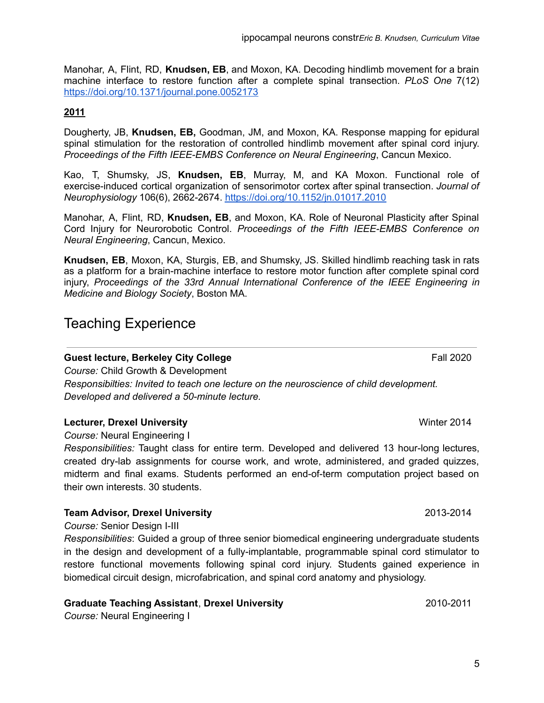Manohar, A, Flint, RD, **Knudsen, EB**, and Moxon, KA. Decoding hindlimb movement for a brain machine interface to restore function after a complete spinal transection. *PLoS One* 7(12) <https://doi.org/10.1371/journal.pone.0052173>

#### **2011**

Dougherty, JB, **Knudsen, EB,** Goodman, JM, and Moxon, KA. Response mapping for epidural spinal stimulation for the restoration of controlled hindlimb movement after spinal cord injury. *Proceedings of the Fifth IEEE-EMBS Conference on Neural Engineering*, Cancun Mexico.

Kao, T, Shumsky, JS, **Knudsen, EB**, Murray, M, and KA Moxon. Functional role of exercise-induced cortical organization of sensorimotor cortex after spinal transection. *Journal of Neurophysiology* 106(6), 2662-2674. <https://doi.org/10.1152/jn.01017.2010>

Manohar, A, Flint, RD, **Knudsen, EB**, and Moxon, KA. Role of Neuronal Plasticity after Spinal Cord Injury for Neurorobotic Control. *Proceedings of the Fifth IEEE-EMBS Conference on Neural Engineering*, Cancun, Mexico.

**Knudsen, EB**, Moxon, KA, Sturgis, EB, and Shumsky, JS. Skilled hindlimb reaching task in rats as a platform for a brain-machine interface to restore motor function after complete spinal cord injury, *Proceedings of the 33rd Annual International Conference of the IEEE Engineering in Medicine and Biology Society*, Boston MA.

### Teaching Experience

#### **Guest lecture, Berkeley City College** Fall 2020

*Course:* Child Growth & Development *Responsibilties: Invited to teach one lecture on the neuroscience of child development. Developed and delivered a 50-minute lecture.*

#### **Lecturer, Drexel University** Winter 2014

*Course:* Neural Engineering I

*Responsibilities:* Taught class for entire term. Developed and delivered 13 hour-long lectures, created dry-lab assignments for course work, and wrote, administered, and graded quizzes, midterm and final exams. Students performed an end-of-term computation project based on their own interests. 30 students.

#### **Team Advisor, Drexel University** 2013-2014

#### *Course:* Senior Design I-III

*Responsibilities*: Guided a group of three senior biomedical engineering undergraduate students in the design and development of a fully-implantable, programmable spinal cord stimulator to restore functional movements following spinal cord injury. Students gained experience in biomedical circuit design, microfabrication, and spinal cord anatomy and physiology.

#### **Graduate Teaching Assistant**, **Drexel University** 2010-2011

*Course:* Neural Engineering I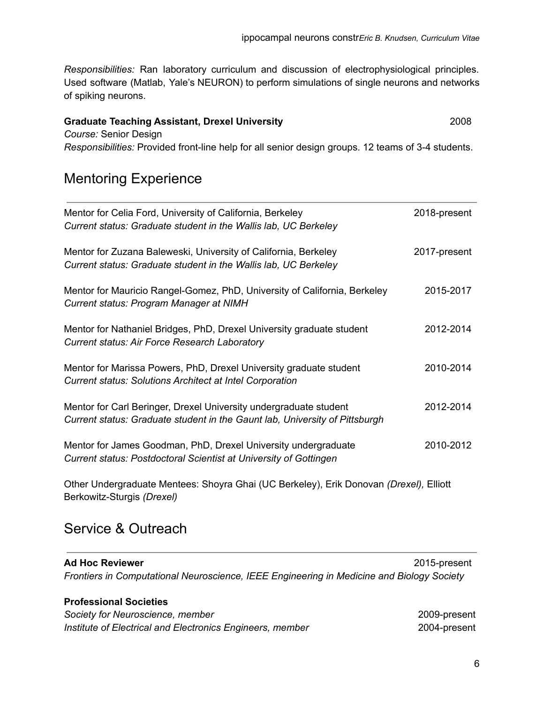*Responsibilities:* Ran laboratory curriculum and discussion of electrophysiological principles. Used software (Matlab, Yale's NEURON) to perform simulations of single neurons and networks of spiking neurons.

#### **Graduate Teaching Assistant, Drexel University** 2008 *Course:* Senior Design *Responsibilities:* Provided front-line help for all senior design groups. 12 teams of 3-4 students.

## Mentoring Experience

| Mentor for Celia Ford, University of California, Berkeley<br>Current status: Graduate student in the Wallis lab, UC Berkeley                     | 2018-present |
|--------------------------------------------------------------------------------------------------------------------------------------------------|--------------|
| Mentor for Zuzana Baleweski, University of California, Berkeley<br>Current status: Graduate student in the Wallis lab, UC Berkeley               | 2017-present |
| Mentor for Mauricio Rangel-Gomez, PhD, University of California, Berkeley<br>Current status: Program Manager at NIMH                             | 2015-2017    |
| Mentor for Nathaniel Bridges, PhD, Drexel University graduate student<br><b>Current status: Air Force Research Laboratory</b>                    | 2012-2014    |
| Mentor for Marissa Powers, PhD, Drexel University graduate student<br><b>Current status: Solutions Architect at Intel Corporation</b>            | 2010-2014    |
| Mentor for Carl Beringer, Drexel University undergraduate student<br>Current status: Graduate student in the Gaunt lab, University of Pittsburgh | 2012-2014    |
| Mentor for James Goodman, PhD, Drexel University undergraduate<br>Current status: Postdoctoral Scientist at University of Gottingen              | 2010-2012    |

Other Undergraduate Mentees: Shoyra Ghai (UC Berkeley), Erik Donovan *(Drexel),* Elliott Berkowitz-Sturgis *(Drexel)*

## Service & Outreach

| <b>Ad Hoc Reviewer</b>                                                                    | 2015-present |
|-------------------------------------------------------------------------------------------|--------------|
| Frontiers in Computational Neuroscience, IEEE Engineering in Medicine and Biology Society |              |

| <b>Professional Societies</b>                             |              |
|-----------------------------------------------------------|--------------|
| Society for Neuroscience, member                          | 2009-present |
| Institute of Electrical and Electronics Engineers, member | 2004-present |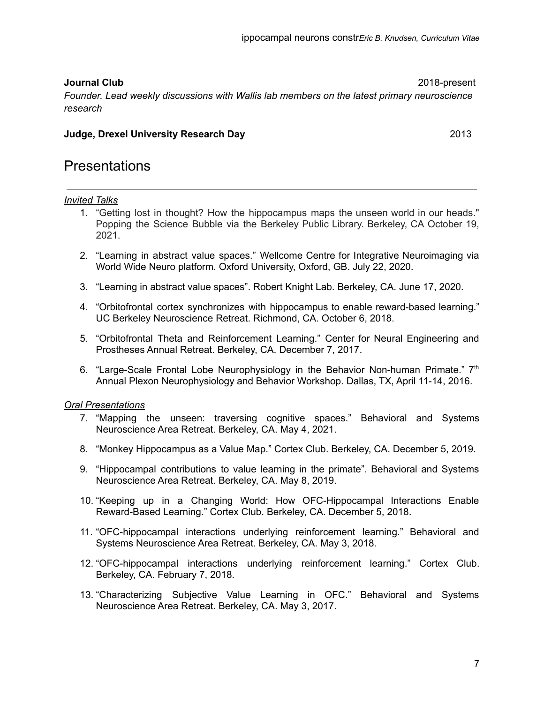#### **Journal Club** 2018-present

*Founder. Lead weekly discussions with Wallis lab members on the latest primary neuroscience research*

#### **Judge, Drexel University Research Day** 2013

### Presentations

#### *Invited Talks*

- 1. "Getting lost in thought? How the hippocampus maps the unseen world in our heads." Popping the Science Bubble via the Berkeley Public Library. Berkeley, CA October 19, 2021.
- 2. "Learning in abstract value spaces." Wellcome Centre for Integrative Neuroimaging via World Wide Neuro platform. Oxford University, Oxford, GB. July 22, 2020.
- 3. "Learning in abstract value spaces". Robert Knight Lab. Berkeley, CA. June 17, 2020.
- 4. "Orbitofrontal cortex synchronizes with hippocampus to enable reward-based learning." UC Berkeley Neuroscience Retreat. Richmond, CA. October 6, 2018.
- 5. "Orbitofrontal Theta and Reinforcement Learning." Center for Neural Engineering and Prostheses Annual Retreat. Berkeley, CA. December 7, 2017.
- 6. "Large-Scale Frontal Lobe Neurophysiology in the Behavior Non-human Primate."  $7<sup>th</sup>$ Annual Plexon Neurophysiology and Behavior Workshop. Dallas, TX, April 11-14, 2016.

#### *Oral Presentations*

- 7. "Mapping the unseen: traversing cognitive spaces." Behavioral and Systems Neuroscience Area Retreat. Berkeley, CA. May 4, 2021.
- 8. "Monkey Hippocampus as a Value Map." Cortex Club. Berkeley, CA. December 5, 2019.
- 9. "Hippocampal contributions to value learning in the primate". Behavioral and Systems Neuroscience Area Retreat. Berkeley, CA. May 8, 2019.
- 10. "Keeping up in a Changing World: How OFC-Hippocampal Interactions Enable Reward-Based Learning." Cortex Club. Berkeley, CA. December 5, 2018.
- 11. "OFC-hippocampal interactions underlying reinforcement learning." Behavioral and Systems Neuroscience Area Retreat. Berkeley, CA. May 3, 2018.
- 12. "OFC-hippocampal interactions underlying reinforcement learning." Cortex Club. Berkeley, CA. February 7, 2018.
- 13. "Characterizing Subjective Value Learning in OFC." Behavioral and Systems Neuroscience Area Retreat. Berkeley, CA. May 3, 2017.